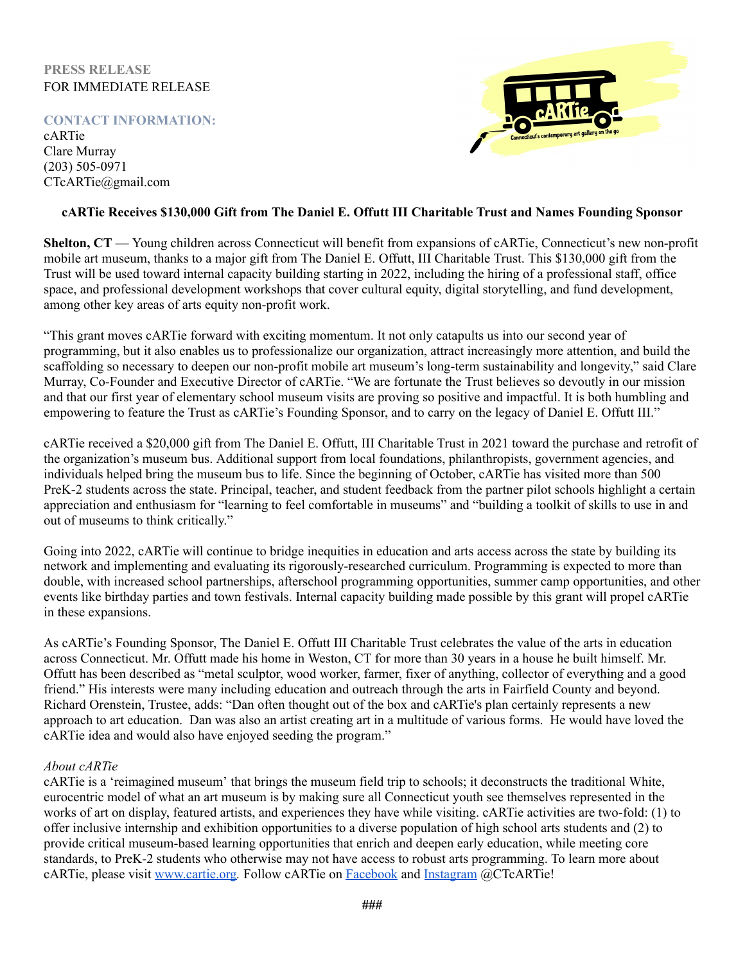## **PRESS RELEASE** FOR IMMEDIATE RELEASE

# **CONTACT INFORMATION:**

cARTie Clare Murray (203) 505-0971 CTcARTie@gmail.com



#### **cARTie Receives \$130,000 Gift from The Daniel E. Offutt III Charitable Trust and Names Founding Sponsor**

**Shelton, CT** — Young children across Connecticut will benefit from expansions of cARTie, Connecticut's new non-profit mobile art museum, thanks to a major gift from The Daniel E. Offutt, III Charitable Trust. This \$130,000 gift from the Trust will be used toward internal capacity building starting in 2022, including the hiring of a professional staff, office space, and professional development workshops that cover cultural equity, digital storytelling, and fund development, among other key areas of arts equity non-profit work.

"This grant moves cARTie forward with exciting momentum. It not only catapults us into our second year of programming, but it also enables us to professionalize our organization, attract increasingly more attention, and build the scaffolding so necessary to deepen our non-profit mobile art museum's long-term sustainability and longevity," said Clare Murray, Co-Founder and Executive Director of cARTie. "We are fortunate the Trust believes so devoutly in our mission and that our first year of elementary school museum visits are proving so positive and impactful. It is both humbling and empowering to feature the Trust as cARTie's Founding Sponsor, and to carry on the legacy of Daniel E. Offutt III."

cARTie received a \$20,000 gift from The Daniel E. Offutt, III Charitable Trust in 2021 toward the purchase and retrofit of the organization's museum bus. Additional support from local foundations, philanthropists, government agencies, and individuals helped bring the museum bus to life. Since the beginning of October, cARTie has visited more than 500 PreK-2 students across the state. Principal, teacher, and student feedback from the partner pilot schools highlight a certain appreciation and enthusiasm for "learning to feel comfortable in museums" and "building a toolkit of skills to use in and out of museums to think critically."

Going into 2022, cARTie will continue to bridge inequities in education and arts access across the state by building its network and implementing and evaluating its rigorously-researched curriculum. Programming is expected to more than double, with increased school partnerships, afterschool programming opportunities, summer camp opportunities, and other events like birthday parties and town festivals. Internal capacity building made possible by this grant will propel cARTie in these expansions.

As cARTie's Founding Sponsor, The Daniel E. Offutt III Charitable Trust celebrates the value of the arts in education across Connecticut. Mr. Offutt made his home in Weston, CT for more than 30 years in a house he built himself. Mr. Offutt has been described as "metal sculptor, wood worker, farmer, fixer of anything, collector of everything and a good friend." His interests were many including education and outreach through the arts in Fairfield County and beyond. Richard Orenstein, Trustee, adds: "Dan often thought out of the box and cARTie's plan certainly represents a new approach to art education. Dan was also an artist creating art in a multitude of various forms. He would have loved the cARTie idea and would also have enjoyed seeding the program."

## *About cARTie*

cARTie is a 'reimagined museum' that brings the museum field trip to schools; it deconstructs the traditional White, eurocentric model of what an art museum is by making sure all Connecticut youth see themselves represented in the works of art on display, featured artists, and experiences they have while visiting. cARTie activities are two-fold: (1) to offer inclusive internship and exhibition opportunities to a diverse population of high school arts students and (2) to provide critical museum-based learning opportunities that enrich and deepen early education, while meeting core standards, to PreK-2 students who otherwise may not have access to robust arts programming. To learn more about cARTie, please visit [www.cartie.org](https://www.cartie.org/)*.* Follow cARTie on [Facebook](https://www.facebook.com/CTcARTie) and [Instagram](https://www.instagram.com/ctcartie/) @CTcARTie!